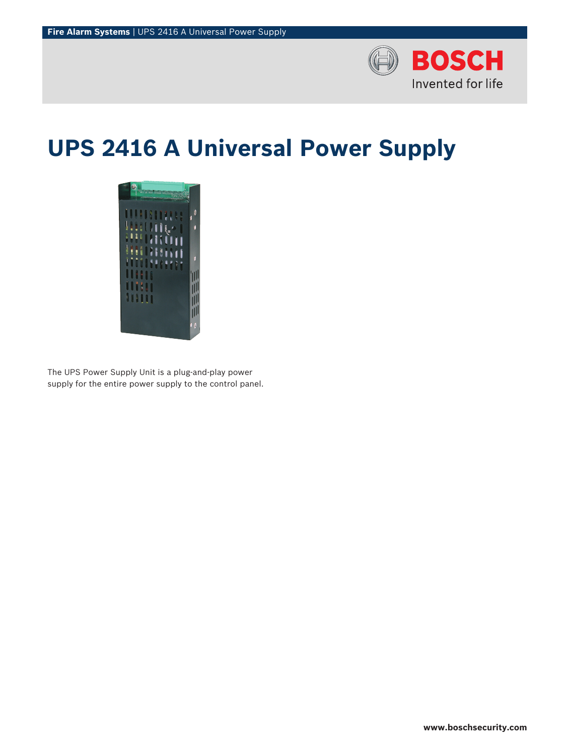

# **UPS 2416 A Universal Power Supply**



The UPS Power Supply Unit is a plug-and-play power supply for the entire power supply to the control panel.